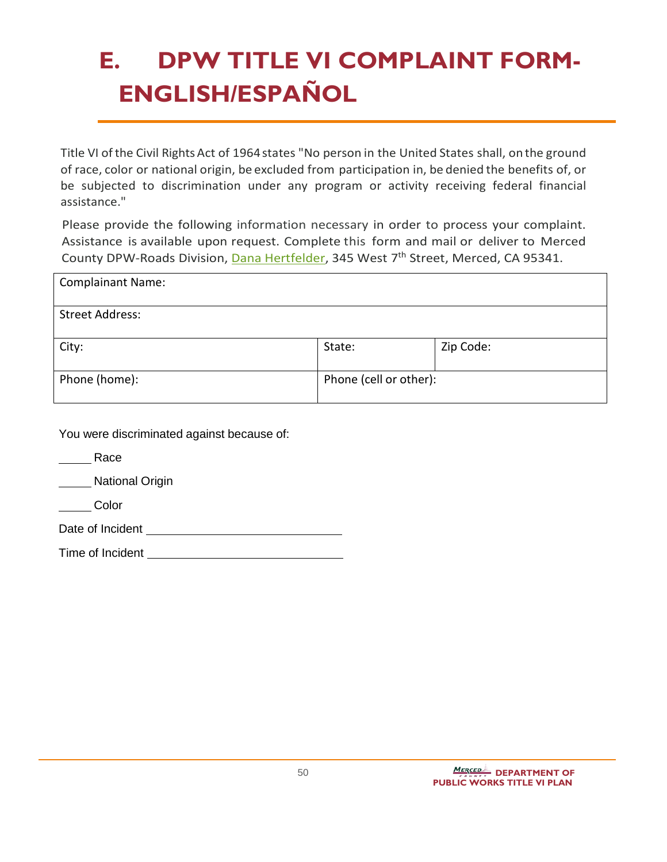## **E. DPW TITLE VI COMPLAINT FORM-ENGLISH/ESPAÑOL**

Title VI of the Civil Rights Act of 1964 states "No person in the United States shall, on the ground of race, color or national origin, be excluded from participation in, be denied the benefits of, or be subjected to discrimination under any program or activity receiving federal financial assistance."

Please provide the following information necessary in order to process your complaint. Assistance is available upon request. Complete this form and mail or deliver to Merced County DPW-Roads Division, [Dana Hertfelder,](mailto:Dana.Hertfelder@countyofmerced.com) 345 West 7<sup>th</sup> Street, Merced, CA 95341.

| <b>Complainant Name:</b> |                        |           |
|--------------------------|------------------------|-----------|
| <b>Street Address:</b>   |                        |           |
| City:                    | State:                 | Zip Code: |
| Phone (home):            | Phone (cell or other): |           |

You were discriminated against because of:

**Race** 

**National Origin** 

**Color** 

Date of Incident

Time of Incident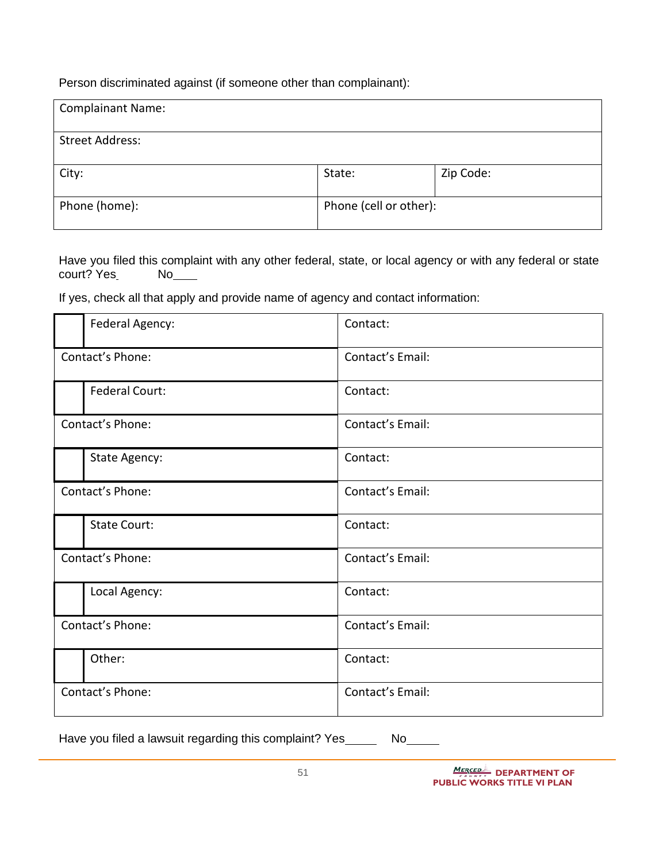Person discriminated against (if someone other than complainant):

| <b>Complainant Name:</b> |                        |           |
|--------------------------|------------------------|-----------|
|                          |                        |           |
| <b>Street Address:</b>   |                        |           |
|                          |                        |           |
| City:                    | State:                 | Zip Code: |
| Phone (home):            | Phone (cell or other): |           |

Have you filed this complaint with any other federal, state, or local agency or with any federal or state court? Yes No\_\_\_\_

If yes, check all that apply and provide name of agency and contact information:

| Federal Agency:       | Contact:         |
|-----------------------|------------------|
| Contact's Phone:      | Contact's Email: |
| <b>Federal Court:</b> | Contact:         |
| Contact's Phone:      | Contact's Email: |
| State Agency:         | Contact:         |
| Contact's Phone:      | Contact's Email: |
| <b>State Court:</b>   | Contact:         |
| Contact's Phone:      | Contact's Email: |
| Local Agency:         | Contact:         |
| Contact's Phone:      | Contact's Email: |
| Other:                | Contact:         |
| Contact's Phone:      | Contact's Email: |

Have you filed a lawsuit regarding this complaint? Yes \_\_\_\_\_\_ No\_\_\_\_\_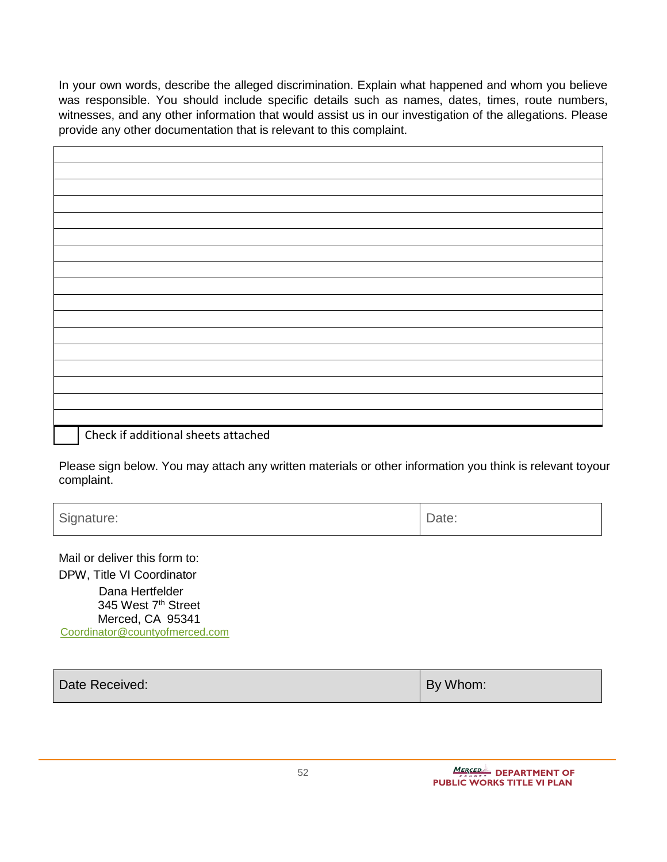In your own words, describe the alleged discrimination. Explain what happened and whom you believe was responsible. You should include specific details such as names, dates, times, route numbers, witnesses, and any other information that would assist us in our investigation of the allegations. Please provide any other documentation that is relevant to this complaint.

Check if additional sheets attached

Please sign below. You may attach any written materials or other information you think is relevant toyour complaint.

Signature:  $\vert$  Date:

Mail or deliver this form to: DPW, Title VI Coordinator

 Dana Hertfelder 345 West 7<sup>th</sup> Street Merced, CA 95341 [Coordinator@countyofmerced.com](mailto:Dana.Hertfelder@countyofmerced.com?subject=Title%20VI)

| Date Received: | By Whom: |
|----------------|----------|
|                |          |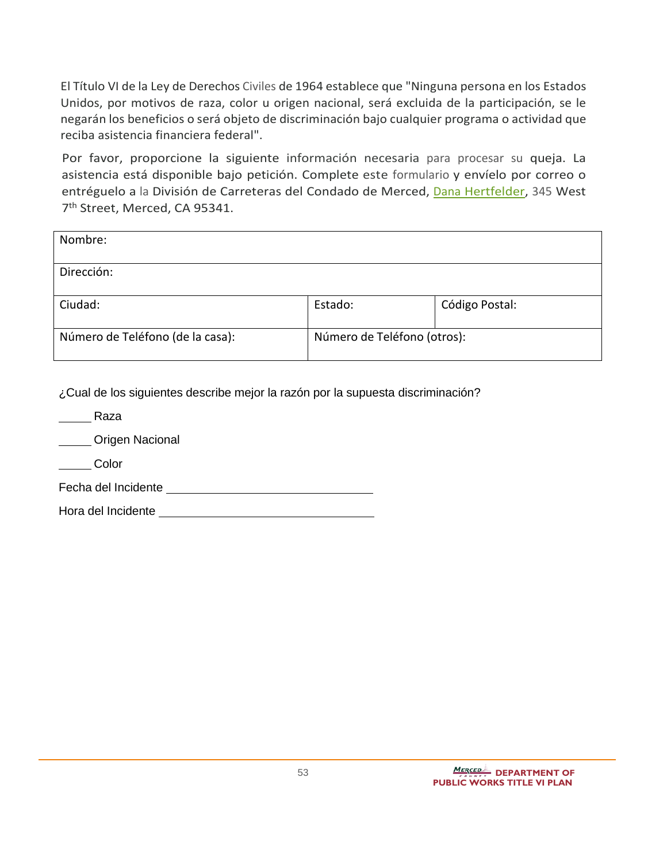El Título VI de la Ley de Derechos Civiles de 1964 establece que "Ninguna persona en los Estados Unidos, por motivos de raza, color u origen nacional, será excluida de la participación, se le negarán los beneficios o será objeto de discriminación bajo cualquier programa o actividad que reciba asistencia financiera federal".

Por favor, proporcione la siguiente información necesaria para procesar su queja. La asistencia está disponible bajo petición. Complete este formulario y envíelo por correo o entréguelo a la División de Carreteras del Condado de Merced, Dana [Hertfelder,](mailto:Dana.Hertfelder@countyofmerced.com) 345 West 7th Street, Merced, CA 95341.

| Nombre:                          |                             |                |
|----------------------------------|-----------------------------|----------------|
| Dirección:                       |                             |                |
| Ciudad:                          | Estado:                     | Código Postal: |
| Número de Teléfono (de la casa): | Número de Teléfono (otros): |                |

¿Cual de los siguientes describe mejor la razón por la supuesta discriminación?

| Raza                   |
|------------------------|
| <b>Origen Nacional</b> |
| Color                  |
| Fecha del Incidente    |
| Hora del Incidente     |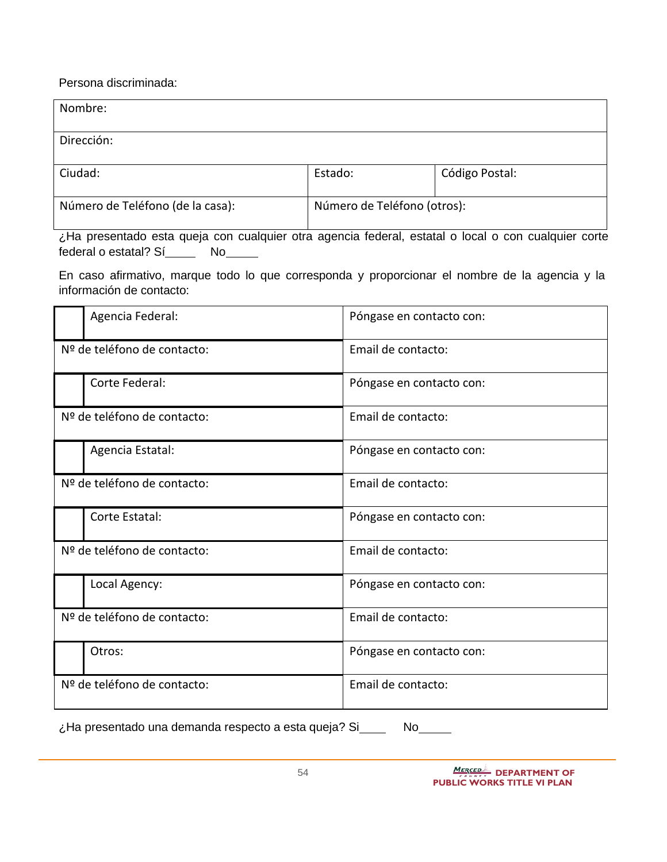Persona discriminada:

| Nombre:                          |                             |                |
|----------------------------------|-----------------------------|----------------|
|                                  |                             |                |
| Dirección:                       |                             |                |
|                                  |                             |                |
| Ciudad:                          | Estado:                     | Código Postal: |
|                                  |                             |                |
| Número de Teléfono (de la casa): | Número de Teléfono (otros): |                |
|                                  |                             |                |

¿Ha presentado esta queja con cualquier otra agencia federal, estatal o local o con cualquier corte federal o estatal? Sí\_\_\_\_\_\_ No

En caso afirmativo, marque todo lo que corresponda y proporcionar el nombre de la agencia y la información de contacto:

| Agencia Federal:            | Póngase en contacto con: |
|-----------------------------|--------------------------|
| Nº de teléfono de contacto: | Email de contacto:       |
| Corte Federal:              | Póngase en contacto con: |
| Nº de teléfono de contacto: | Email de contacto:       |
| Agencia Estatal:            | Póngase en contacto con: |
| Nº de teléfono de contacto: | Email de contacto:       |
| Corte Estatal:              | Póngase en contacto con: |
| Nº de teléfono de contacto: | Email de contacto:       |
| Local Agency:               | Póngase en contacto con: |
| Nº de teléfono de contacto: | Email de contacto:       |
| Otros:                      | Póngase en contacto con: |
| Nº de teléfono de contacto: | Email de contacto:       |

¿Ha presentado una demanda respecto a esta queja? Si\_\_\_\_ No\_\_\_\_